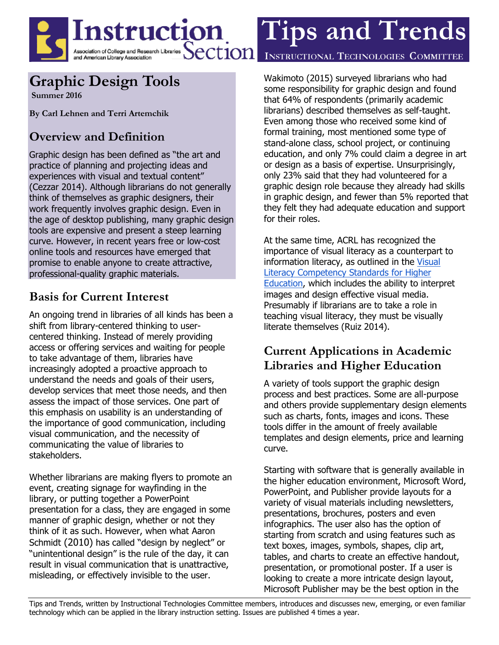

# **Graphic Design Tools**

**Summer 2016**

**By Carl Lehnen and Terri Artemchik**

# **Overview and Definition**

Graphic design has been defined as "the art and practice of planning and projecting ideas and experiences with visual and textual content" (Cezzar 2014). Although librarians do not generally think of themselves as graphic designers, their work frequently involves graphic design. Even in the age of desktop publishing, many graphic design tools are expensive and present a steep learning curve. However, in recent years free or low-cost online tools and resources have emerged that promise to enable anyone to create attractive, professional-quality graphic materials.

## **Basis for Current Interest**

An ongoing trend in libraries of all kinds has been a shift from library-centered thinking to usercentered thinking. Instead of merely providing access or offering services and waiting for people to take advantage of them, libraries have increasingly adopted a proactive approach to understand the needs and goals of their users, develop services that meet those needs, and then assess the impact of those services. One part of this emphasis on usability is an understanding of the importance of good communication, including visual communication, and the necessity of communicating the value of libraries to stakeholders.

Whether librarians are making flyers to promote an event, creating signage for wayfinding in the library, or putting together a PowerPoint presentation for a class, they are engaged in some manner of graphic design, whether or not they think of it as such. However, when what Aaron Schmidt (2010) has called "design by neglect" or "unintentional design" is the rule of the day, it can result in visual communication that is unattractive, misleading, or effectively invisible to the user.

Wakimoto (2015) surveyed librarians who had some responsibility for graphic design and found that 64% of respondents (primarily academic librarians) described themselves as self-taught. Even among those who received some kind of formal training, most mentioned some type of stand-alone class, school project, or continuing education, and only 7% could claim a degree in art or design as a basis of expertise. Unsurprisingly, only 23% said that they had volunteered for a graphic design role because they already had skills in graphic design, and fewer than 5% reported that they felt they had adequate education and support for their roles.

At the same time, ACRL has recognized the importance of visual literacy as a counterpart to information literacy, as outlined in the [Visual](http://www.ala.org/acrl/standards/visualliteracy)  [Literacy Competency Standards for Higher](http://www.ala.org/acrl/standards/visualliteracy)  [Education,](http://www.ala.org/acrl/standards/visualliteracy) which includes the ability to interpret images and design effective visual media. Presumably if librarians are to take a role in teaching visual literacy, they must be visually literate themselves (Ruiz 2014).

## **Current Applications in Academic Libraries and Higher Education**

A variety of tools support the graphic design process and best practices. Some are all-purpose and others provide supplementary design elements such as charts, fonts, images and icons. These tools differ in the amount of freely available templates and design elements, price and learning curve.

Starting with software that is generally available in the higher education environment, Microsoft Word, PowerPoint, and Publisher provide layouts for a variety of visual materials including newsletters, presentations, brochures, posters and even infographics. The user also has the option of starting from scratch and using features such as text boxes, images, symbols, shapes, clip art, tables, and charts to create an effective handout, presentation, or promotional poster. If a user is looking to create a more intricate design layout, Microsoft Publisher may be the best option in the

Tips and Trends, written by Instructional Technologies Committee members, introduces and discusses new, emerging, or even familiar technology which can be applied in the library instruction setting. Issues are published 4 times a year.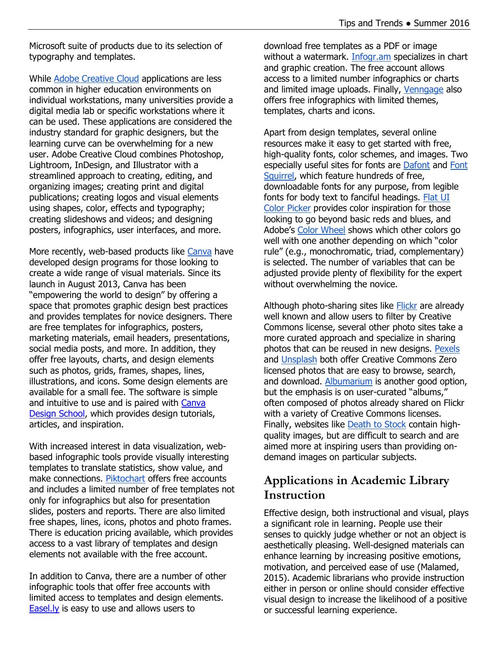Microsoft suite of products due to its selection of typography and templates.

While [Adobe Creative Cloud](http://www.adobe.com/creativecloud.html) applications are less common in higher education environments on individual workstations, many universities provide a digital media lab or specific workstations where it can be used. These applications are considered the industry standard for graphic designers, but the learning curve can be overwhelming for a new user. Adobe Creative Cloud combines Photoshop, Lightroom, InDesign, and Illustrator with a streamlined approach to creating, editing, and organizing images; creating print and digital publications; creating logos and visual elements using shapes, color, effects and typography; creating slideshows and videos; and designing posters, infographics, user interfaces, and more.

More recently, web-based products like [Canva](https://www.canva.com/) have developed design programs for those looking to create a wide range of visual materials. Since its launch in August 2013, Canva has been "empowering the world to design" by offering a space that promotes graphic design best practices and provides templates for novice designers. There are free templates for infographics, posters, marketing materials, email headers, presentations, social media posts, and more. In addition, they offer free layouts, charts, and design elements such as photos, grids, frames, shapes, lines, illustrations, and icons. Some design elements are available for a small fee. The software is simple and intuitive to use and is paired with [Canva](https://designschool.canva.com/)  [Design School,](https://designschool.canva.com/) which provides design tutorials, articles, and inspiration.

With increased interest in data visualization, webbased infographic tools provide visually interesting templates to translate statistics, show value, and make connections. [Piktochart](https://piktochart.com/) offers free accounts and includes a limited number of free templates not only for infographics but also for presentation slides, posters and reports. There are also limited free shapes, lines, icons, photos and photo frames. There is education pricing available, which provides access to a vast library of templates and design elements not available with the free account.

In addition to Canva, there are a number of other infographic tools that offer free accounts with limited access to templates and design elements. [Easel.ly](http://www.easel.ly/) is easy to use and allows users to

download free templates as a PDF or image without a watermark. [Infogr.am](https://infogr.am/) specializes in chart and graphic creation. The free account allows access to a limited number infographics or charts and limited image uploads. Finally, [Venngage](https://venngage.com/) also offers free infographics with limited themes, templates, charts and icons.

Apart from design templates, several online resources make it easy to get started with free, high-quality fonts, color schemes, and images. Two especially useful sites for fonts are [Dafont](http://www.dafont.com/) and [Font](https://www.fontsquirrel.com/)  [Squirrel,](https://www.fontsquirrel.com/) which feature hundreds of free, downloadable fonts for any purpose, from legible fonts for body text to fanciful headings. [Flat](http://www.flatuicolorpicker.com/) UI [Color Picker](http://www.flatuicolorpicker.com/) provides color inspiration for those looking to go beyond basic reds and blues, and Adobe's [Color Wheel](https://color.adobe.com/create/color-wheel/) shows which other colors go well with one another depending on which "color rule" (e.g., monochromatic, triad, complementary) is selected. The number of variables that can be adjusted provide plenty of flexibility for the expert without overwhelming the novice.

Although photo-sharing sites like [Flickr](https://www.flickr.com/) are already well known and allow users to filter by Creative Commons license, several other photo sites take a more curated approach and specialize in sharing photos that can be reused in new designs. [Pexels](https://www.pexels.com/) and [Unsplash](https://unsplash.com/) both offer Creative Commons Zero licensed photos that are easy to browse, search, and download. [Albumarium](http://albumarium.com/) is another good option, but the emphasis is on user-curated "albums," often composed of photos already shared on Flickr with a variety of Creative Commons licenses. Finally, websites like [Death to Stock](http://deathtothestockphoto.com/) contain highquality images, but are difficult to search and are aimed more at inspiring users than providing ondemand images on particular subjects.

#### **Applications in Academic Library Instruction**

Effective design, both instructional and visual, plays a significant role in learning. People use their senses to quickly judge whether or not an object is aesthetically pleasing. Well-designed materials can enhance learning by increasing positive emotions, motivation, and perceived ease of use (Malamed, 2015). Academic librarians who provide instruction either in person or online should consider effective visual design to increase the likelihood of a positive or successful learning experience.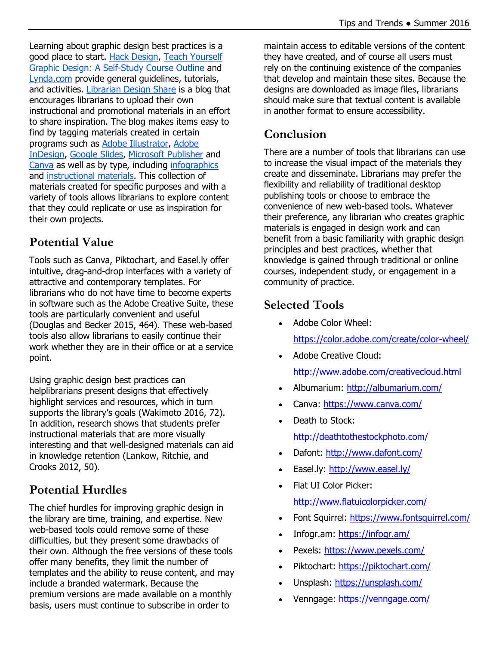Learning about graphic design best practices is a good place to start. [Hack Design,](http://hackdesign.org/) [Teach Yourself](http://design.tutsplus.com/articles/teach-yourself-graphic-design-a-self-study-course-outline--psd-3520)  [Graphic Design: A Self-Study Course Outline](http://design.tutsplus.com/articles/teach-yourself-graphic-design-a-self-study-course-outline--psd-3520) and [Lynda.com](http://www.lynda.com/Design-training-tutorials/40-0.html?bnr=NMHP_blocks) provide general guidelines, tutorials, and activities. [Librarian Design Share](https://librariandesignshare.org/) is a blog that encourages librarians to upload their own instructional and promotional materials in an effort to share inspiration. The blog makes items easy to find by tagging materials created in certain programs such as [Adobe Illustrator,](https://librariandesignshare.org/tag/illustrator/) [Adobe](https://librariandesignshare.org/tag/indesign/)  [InDesign,](https://librariandesignshare.org/tag/indesign/) [Google Slides,](https://librariandesignshare.org/tag/google-slides/) [Microsoft Publisher](https://librariandesignshare.org/tag/publisher/) and [Canva](https://librariandesignshare.org/tag/canva/) as well as by type, including [infographics](https://librariandesignshare.org/category/infographics/) and [instructional materials.](https://librariandesignshare.org/category/instructional-materials/) This collection of materials created for specific purposes and with a variety of tools allows librarians to explore content that they could replicate or use as inspiration for their own projects.

### **Potential Value**

Tools such as Canva, Piktochart, and Easel.ly offer intuitive, drag-and-drop interfaces with a variety of attractive and contemporary templates. For librarians who do not have time to become experts in software such as the Adobe Creative Suite, these tools are particularly convenient and useful (Douglas and Becker 2015, 464). These web-based tools also allow librarians to easily continue their work whether they are in their office or at a service point.

Using graphic design best practices can helplibrarians present designs that effectively highlight services and resources, which in turn supports the library's goals (Wakimoto 2016, 72). In addition, research shows that students prefer instructional materials that are more visually interesting and that well-designed materials can aid in knowledge retention (Lankow, Ritchie, and Crooks 2012, 50).

## **Potential Hurdles**

The chief hurdles for improving graphic design in the library are time, training, and expertise. New web-based tools could remove some of these difficulties, but they present some drawbacks of their own. Although the free versions of these tools offer many benefits, they limit the number of templates and the ability to reuse content, and may include a branded watermark. Because the premium versions are made available on a monthly basis, users must continue to subscribe in order to

maintain access to editable versions of the content they have created, and of course all users must rely on the continuing existence of the companies that develop and maintain these sites. Because the designs are downloaded as image files, librarians should make sure that textual content is available in another format to ensure accessibility.

# **Conclusion**

There are a number of tools that librarians can use to increase the visual impact of the materials they create and disseminate. Librarians may prefer the flexibility and reliability of traditional desktop publishing tools or choose to embrace the convenience of new web-based tools. Whatever their preference, any librarian who creates graphic materials is engaged in design work and can benefit from a basic familiarity with graphic design principles and best practices, whether that knowledge is gained through traditional or online courses, independent study, or engagement in a community of practice.

## **Selected Tools**

Adobe Color Wheel:

<https://color.adobe.com/create/color-wheel/>

Adobe Creative Cloud:

<http://www.adobe.com/creativecloud.html>

- Albumarium:<http://albumarium.com/>
- Canva:<https://www.canva.com/>
- Death to Stock: <http://deathtothestockphoto.com/>
- Dafont:<http://www.dafont.com/>
- Easel.ly:<http://www.easel.ly/>
- Flat UI Color Picker: <http://www.flatuicolorpicker.com/>
- Font Squirrel:<https://www.fontsquirrel.com/>
- Infogr.am:<https://infogr.am/>
- Pexels:<https://www.pexels.com/>
- Piktochart:<https://piktochart.com/>
- Unsplash:<https://unsplash.com/>
- Venngage:<https://venngage.com/>